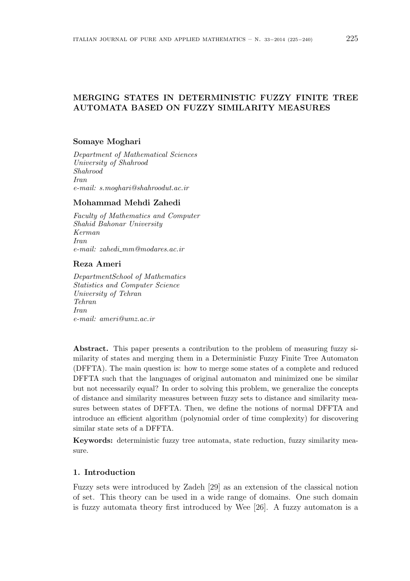# MERGING STATES IN DETERMINISTIC FUZZY FINITE TREE AUTOMATA BASED ON FUZZY SIMILARITY MEASURES

### Somaye Moghari

Department of Mathematical Sciences University of Shahrood Shahrood Iran e-mail: s.moghari@shahroodut.ac.ir

#### Mohammad Mehdi Zahedi

Faculty of Mathematics and Computer Shahid Bahonar University Kerman Iran  $e-mail: zahedi\_mm@modares.ac.in$ 

### Reza Ameri

DepartmentSchool of Mathematics Statistics and Computer Science University of Tehran Tehran Iran e-mail: ameri@umz.ac.ir

Abstract. This paper presents a contribution to the problem of measuring fuzzy similarity of states and merging them in a Deterministic Fuzzy Finite Tree Automaton (DFFTA). The main question is: how to merge some states of a complete and reduced DFFTA such that the languages of original automaton and minimized one be similar but not necessarily equal? In order to solving this problem, we generalize the concepts of distance and similarity measures between fuzzy sets to distance and similarity measures between states of DFFTA. Then, we define the notions of normal DFFTA and introduce an efficient algorithm (polynomial order of time complexity) for discovering similar state sets of a DFFTA.

Keywords: deterministic fuzzy tree automata, state reduction, fuzzy similarity measure.

## 1. Introduction

Fuzzy sets were introduced by Zadeh [29] as an extension of the classical notion of set. This theory can be used in a wide range of domains. One such domain is fuzzy automata theory first introduced by Wee [26]. A fuzzy automaton is a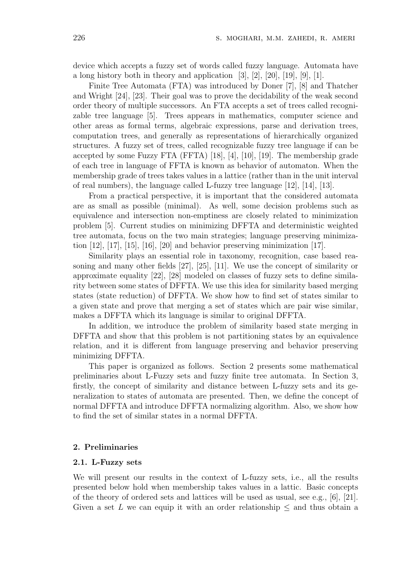device which accepts a fuzzy set of words called fuzzy language. Automata have a long history both in theory and application  $[3]$ ,  $[2]$ ,  $[20]$ ,  $[19]$ ,  $[9]$ ,  $[1]$ .

Finite Tree Automata (FTA) was introduced by Doner [7], [8] and Thatcher and Wright [24], [23]. Their goal was to prove the decidability of the weak second order theory of multiple successors. An FTA accepts a set of trees called recognizable tree language [5]. Trees appears in mathematics, computer science and other areas as formal terms, algebraic expressions, parse and derivation trees, computation trees, and generally as representations of hierarchically organized structures. A fuzzy set of trees, called recognizable fuzzy tree language if can be accepted by some Fuzzy FTA (FFTA) [18], [4], [10], [19]. The membership grade of each tree in language of FFTA is known as behavior of automaton. When the membership grade of trees takes values in a lattice (rather than in the unit interval of real numbers), the language called L-fuzzy tree language [12], [14], [13].

From a practical perspective, it is important that the considered automata are as small as possible (minimal). As well, some decision problems such as equivalence and intersection non-emptiness are closely related to minimization problem [5]. Current studies on minimizing DFFTA and deterministic weighted tree automata, focus on the two main strategies; language preserving minimization  $[12]$ ,  $[17]$ ,  $[15]$ ,  $[16]$ ,  $[20]$  and behavior preserving minimization  $[17]$ .

Similarity plays an essential role in taxonomy, recognition, case based reasoning and many other fields [27], [25], [11]. We use the concept of similarity or approximate equality [22], [28] modeled on classes of fuzzy sets to define similarity between some states of DFFTA. We use this idea for similarity based merging states (state reduction) of DFFTA. We show how to find set of states similar to a given state and prove that merging a set of states which are pair wise similar, makes a DFFTA which its language is similar to original DFFTA.

In addition, we introduce the problem of similarity based state merging in DFFTA and show that this problem is not partitioning states by an equivalence relation, and it is different from language preserving and behavior preserving minimizing DFFTA.

This paper is organized as follows. Section 2 presents some mathematical preliminaries about L-Fuzzy sets and fuzzy finite tree automata. In Section 3, firstly, the concept of similarity and distance between L-fuzzy sets and its generalization to states of automata are presented. Then, we define the concept of normal DFFTA and introduce DFFTA normalizing algorithm. Also, we show how to find the set of similar states in a normal DFFTA.

#### 2. Preliminaries

#### 2.1. L-Fuzzy sets

We will present our results in the context of L-fuzzy sets, i.e., all the results presented below hold when membership takes values in a lattic. Basic concepts of the theory of ordered sets and lattices will be used as usual, see e.g.,  $[6]$ ,  $[21]$ . Given a set L we can equip it with an order relationship  $\leq$  and thus obtain a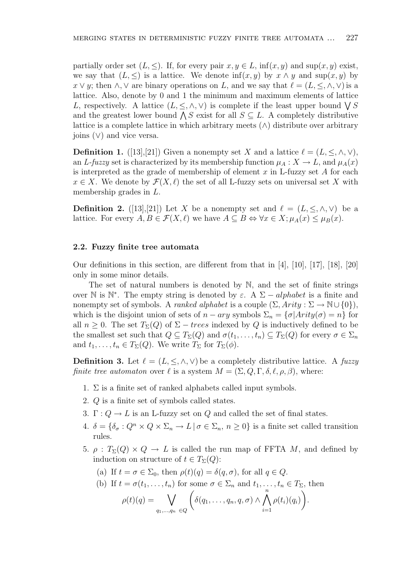partially order set  $(L, \leq)$ . If, for every pair  $x, y \in L$ , inf $(x, y)$  and sup $(x, y)$  exist, we say that  $(L, \leq)$  is a lattice. We denote  $\inf(x, y)$  by  $x \wedge y$  and  $\sup(x, y)$  by  $x \vee y$ ; then  $\wedge$ ,  $\vee$  are binary operations on L, and we say that  $\ell = (L, \leq, \wedge, \vee)$  is a lattice. Also, denote by 0 and 1 the minimum and maximum elements of lattice attice. Also, denote by 0 and 1 the minimum and maximum elements of lattice  $L$ , respectively. A lattice  $(L, \leq, \wedge, \vee)$  is complete if the least upper bound  $\bigvee S$ L, respectively. A lattice  $(L, \leq, \land, \lor)$  is complete if the least upper bound  $\sqrt{S}$  and the greatest lower bound  $\sqrt{S}$  exist for all  $S \subseteq L$ . A completely distributive lattice is a complete lattice in which arbitrary meets  $(\wedge)$  distribute over arbitrary joins (∨) and vice versa.

**Definition 1.** ([13],[21]) Given a nonempty set X and a lattice  $\ell = (L, \leq, \wedge, \vee),$ an L-fuzzy set is characterized by its membership function  $\mu_A : X \to L$ , and  $\mu_A(x)$ is interpreted as the grade of membership of element  $x$  in L-fuzzy set  $A$  for each  $x \in X$ . We denote by  $\mathcal{F}(X, \ell)$  the set of all L-fuzzy sets on universal set X with membership grades in L.

**Definition 2.** ([13],[21]) Let X be a nonempty set and  $\ell = (L, \leq, \wedge, \vee)$  be a lattice. For every  $A, B \in \mathcal{F}(X, \ell)$  we have  $A \subseteq B \Leftrightarrow \forall x \in X; \mu_A(x) \leq \mu_B(x)$ .

#### 2.2. Fuzzy finite tree automata

Our definitions in this section, are different from that in  $[4]$ ,  $[10]$ ,  $[17]$ ,  $[18]$ ,  $[20]$ only in some minor details.

The set of natural numbers is denoted by N, and the set of finite strings over  $\mathbb N$  is  $\mathbb N^*$ . The empty string is denoted by  $\varepsilon$ . A  $\Sigma - alphabet$  is a finite and nonempty set of symbols. A *ranked alphabet* is a couple  $(\Sigma, Arity : \Sigma \to \mathbb{N} \cup \{0\}),$ which is the disjoint union of sets of  $n - ary$  symbols  $\Sigma_n = {\{\sigma | Arity(\sigma) = n\}}$  for all  $n \geq 0$ . The set  $T_{\Sigma}(Q)$  of  $\Sigma - \text{trees}$  indexed by Q is inductively defined to be the smallest set such that  $Q \subseteq T_{\Sigma}(Q)$  and  $\sigma(t_1, \ldots, t_n) \subseteq T_{\Sigma}(Q)$  for every  $\sigma \in \Sigma_n$ and  $t_1, \ldots, t_n \in T_\Sigma(Q)$ . We write  $T_\Sigma$  for  $T_\Sigma(\phi)$ .

**Definition 3.** Let  $\ell = (L, \leq, \wedge, \vee)$  be a completely distributive lattice. A fuzzy finite tree automaton over  $\ell$  is a system  $M = (\Sigma, Q, \Gamma, \delta, \ell, \rho, \beta)$ , where:

- 1.  $\Sigma$  is a finite set of ranked alphabets called input symbols.
- 2. Q is a finite set of symbols called states.
- 3.  $\Gamma: Q \to L$  is an L-fuzzy set on Q and called the set of final states.
- 4.  $\delta = {\delta_{\sigma} : Q^n \times Q \times \Sigma_n \to L \mid \sigma \in \Sigma_n, n \geq 0}$  is a finite set called transition rules.
- 5.  $\rho: T_{\Sigma}(Q) \times Q \to L$  is called the run map of FFTA M, and defined by induction on structure of  $t \in T_{\Sigma}(Q)$ :
	- (a) If  $t = \sigma \in \Sigma_0$ , then  $\rho(t)(q) = \delta(q, \sigma)$ , for all  $q \in Q$ .

(b) If 
$$
t = \sigma(t_1, ..., t_n)
$$
 for some  $\sigma \in \Sigma_n$  and  $t_1, ..., t_n \in T_{\Sigma}$ , then

$$
\rho(t)(q) = \bigvee_{q_1,\dots,q_n \in Q} \bigg( \delta(q_1,\dots,q_n,q,\sigma) \wedge \bigwedge_{i=1}^n \rho(t_i)(q_i) \bigg).
$$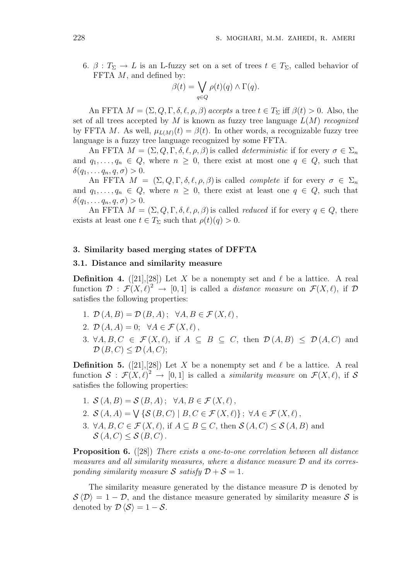6.  $\beta: T_{\Sigma} \to L$  is an L-fuzzy set on a set of trees  $t \in T_{\Sigma}$ , called behavior of FFTA M, and defined by:<br>  $\beta(t) = \bigvee$ 

$$
\beta(t) = \bigvee_{q \in Q} \rho(t)(q) \wedge \Gamma(q).
$$

An FFTA  $M = (\Sigma, Q, \Gamma, \delta, \ell, \rho, \beta)$  accepts a tree  $t \in T_{\Sigma}$  iff  $\beta(t) > 0$ . Also, the set of all trees accepted by M is known as fuzzy tree language  $L(M)$  recognized by FFTA M. As well,  $\mu_{L(M)}(t) = \beta(t)$ . In other words, a recognizable fuzzy tree language is a fuzzy tree language recognized by some FFTA.

An FFTA  $M = (\Sigma, Q, \Gamma, \delta, \ell, \rho, \beta)$  is called *deterministic* if for every  $\sigma \in \Sigma_n$ and  $q_1, \ldots, q_n \in Q$ , where  $n \geq 0$ , there exist at most one  $q \in Q$ , such that  $\delta(q_1, \ldots q_n, q, \sigma) > 0.$ 

An FFTA  $M = (\Sigma, Q, \Gamma, \delta, \ell, \rho, \beta)$  is called *complete* if for every  $\sigma \in \Sigma_n$ and  $q_1, \ldots, q_n \in Q$ , where  $n \geq 0$ , there exist at least one  $q \in Q$ , such that  $\delta(q_1, \ldots q_n, q, \sigma) > 0.$ 

An FFTA  $M = (\Sigma, Q, \Gamma, \delta, \ell, \rho, \beta)$  is called *reduced* if for every  $q \in Q$ , there exists at least one  $t \in T_{\Sigma}$  such that  $\rho(t)(q) > 0$ .

#### 3. Similarity based merging states of DFFTA

### 3.1. Distance and similarity measure

**Definition 4.** ([21], [28]) Let X be a nonempty set and  $\ell$  be a lattice. A real function  $\mathcal{D}: \mathcal{F}(X,\ell)^2 \to [0,1]$  is called a *distance measure* on  $\mathcal{F}(X,\ell)$ , if  $\mathcal{D}$ satisfies the following properties:

- 1.  $\mathcal{D}(A, B) = \mathcal{D}(B, A); \forall A, B \in \mathcal{F}(X, \ell),$
- 2.  $\mathcal{D}(A, A) = 0$ ;  $\forall A \in \mathcal{F}(X, \ell)$ ,
- 3.  $\forall A, B, C \in \mathcal{F}(X, \ell)$ , if  $A \subseteq B \subseteq C$ , then  $\mathcal{D}(A, B) \le \mathcal{D}(A, C)$  and  $\mathcal{D}(B,C) \leq \mathcal{D}(A,C);$

**Definition 5.** ([21], [28]) Let X be a nonempty set and  $\ell$  be a lattice. A real function  $S : \mathcal{F}(X, \ell)^2 \to [0, 1]$  is called a *similarity measure* on  $\mathcal{F}(X, \ell)$ , if S satisfies the following properties:

- 1.  $\mathcal{S}(A, B) = \mathcal{S}(B, A)$ ;  $\forall A, B \in \mathcal{F}(X, \ell)$ ,
- 2.  $S(A, A) = \bigvee \{S(B, C) \mid B, C \in \mathcal{F}(X, \ell)\}; \ \forall A \in \mathcal{F}(X, \ell),$
- 3.  $\forall A, B, C \in \mathcal{F}(X, \ell)$ , if  $A \subseteq B \subseteq C$ , then  $\mathcal{S}(A, C) \leq \mathcal{S}(A, B)$  and  $\mathcal{S}(A, C) \leq \mathcal{S}(B, C)$ .

Proposition 6. ([28]) There exists a one-to-one correlation between all distance measures and all similarity measures, where a distance measure  $\mathcal D$  and its corresponding similarity measure S satisfy  $D + S = 1$ .

The similarity measure generated by the distance measure  $\mathcal D$  is denoted by  $S(\mathcal{D}) = 1 - \mathcal{D}$ , and the distance measure generated by similarity measure S is denoted by  $\mathcal{D} \langle \mathcal{S} \rangle = 1 - \mathcal{S}$ .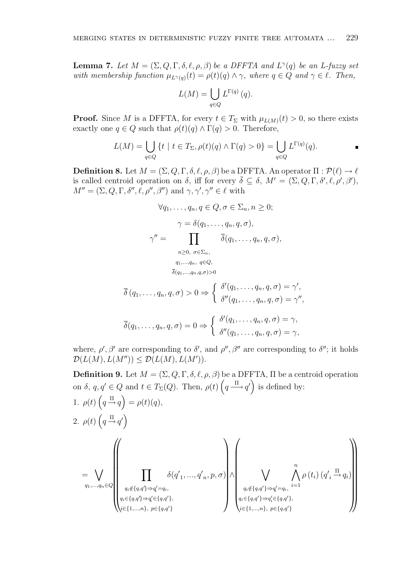**Lemma 7.** Let  $M = (\Sigma, Q, \Gamma, \delta, \ell, \rho, \beta)$  be a DFFTA and  $L^{\gamma}(q)$  be an L-fuzzy set with membership function  $\mu_{L^{\gamma}(q)}(t) = \rho(t)(q) \wedge \gamma$ , where  $q \in Q$  and  $\gamma \in \ell$ . Then,

$$
L(M) = \bigcup_{q \in Q} L^{\Gamma(q)}(q).
$$

**Proof.** Since M is a DFFTA, for every  $t \in T_{\Sigma}$  with  $\mu_{L(M)}(t) > 0$ , so there exists exactly one  $q \in Q$  such that  $\rho(t)(q) \wedge \Gamma(q) > 0$ . Therefore,

$$
L(M) = \bigcup_{q \in Q} \{ t \mid t \in T_{\Sigma}, \rho(t)(q) \wedge \Gamma(q) > 0 \} = \bigcup_{q \in Q} L^{\Gamma(q)}(q).
$$

**Definition 8.** Let  $M = (\Sigma, Q, \Gamma, \delta, \ell, \rho, \beta)$  be a DFFTA. An operator  $\Pi : \mathcal{P}(\ell) \to \ell$ is called centroid operation on  $\delta$ , iff for every  $\overline{\delta} \subseteq \delta$ ,  $M' = (\Sigma, Q, \Gamma, \delta', \ell, \rho', \beta')$ ,  $M'' = (\Sigma, Q, \Gamma, \delta'', \ell, \rho'', \beta'')$  and  $\gamma, \gamma', \gamma'' \in \ell$  with

$$
\forall q_1, \dots, q_n, q \in Q, \sigma \in \Sigma_n, n \ge 0;
$$
  

$$
\gamma = \delta(q_1, \dots, q_n, q, \sigma),
$$
  

$$
\gamma'' = \prod_{\substack{n \ge 0, \ \sigma \in \Sigma_n, \\ q_1, \dots, q_n, q \in Q, \\ \overline{\delta}(q_1, \dots, q_n, q, \sigma) > 0}} \overline{\delta}(q_1, \dots, q_n, q, \sigma),
$$

$$
\overline{\delta}(q_1,\ldots,q_n,q,\sigma) > 0 \Rightarrow \begin{cases} \delta'(q_1,\ldots,q_n,q,\sigma) = \gamma', \\ \delta''(q_1,\ldots,q_n,q,\sigma) = \gamma'', \end{cases}
$$

$$
\overline{\delta}(q_1,\ldots,q_n,q,\sigma) = 0 \Rightarrow \begin{cases} \delta'(q_1,\ldots,q_n,q,\sigma) = \gamma, \\ \delta''(q_1,\ldots,q_n,q,\sigma) = \gamma, \end{cases}
$$

where,  $\rho'$ ,  $\beta'$  are corresponding to  $\delta'$ , and  $\rho''$ ,  $\beta''$  are corresponding to  $\delta''$ ; it holds  $\mathcal{D}(L(M), L(M'')) \leq \mathcal{D}(L(M), L(M')).$ 

**Definition 9.** Let  $M = (\Sigma, Q, \Gamma, \delta, \ell, \rho, \beta)$  be a DFFTA,  $\Pi$  be a centroid operation on  $\delta$ ,  $q, q' \in Q$  and  $t \in T_{\Sigma}(Q)$ . Then,  $\rho(t)$  $\overline{c}$  $q \stackrel{\Pi}{\longrightarrow} q'$ r.<br>' is defined by: 1.  $\rho(t)$ ;<br>;  $q \stackrel{\Pi}{\rightarrow} q$  $\tilde{\mathcal{L}}$  $= \rho(t)(q),$ 2.  $\rho(t)$  $\frac{1}{2}$  $q \stackrel{\Pi}{\rightarrow} q'$  $\tilde{\mathcal{L}}$ =  $\overline{a}$  $q_1,...,q_n \in Q$  $\overline{u}$  $\begin{bmatrix} \n\end{bmatrix}$  $\begin{array}{c}\n\hline\n\end{array}$  $\overline{v}$  $q_i \notin \{q,q'\} \Longrightarrow q'_i = q_i,$  $q_i \in \{q,q'\} \Rightarrow q'_i \in \{q,q'\},\,$  $i \in \{1,...,n\}, p \in \{q,q'\}$  $\delta(q'_1, ..., q'_n, p, \sigma)$  $\mathbf{r}$  $\begin{bmatrix} \n\end{bmatrix}$ ∧  $\overline{\phantom{a}}$  $\begin{bmatrix} \frac{1}{2} & \frac{1}{2} \\ \frac{1}{2} & \frac{1}{2} \end{bmatrix}$  $\overline{a}$  $q_i \notin \{q,q'\} \Longrightarrow q'_i = q_i,$  $q_i \in \{q,q'\} \Rightarrow q_i' \in \{q,q'\},\,$  $i \in \{1,...,n\}, p \in \{q,q'\}$  $\frac{n}{\cdot}$  $i=1$  $\rho(t_i)$   $(q'_i \stackrel{\Pi}{\rightarrow} q_i)$  $\mathbf{v}$  $\begin{picture}(20,20)(-20,0) \put(0,0){\line(1,0){10}} \put(15,0){\line(1,0){10}} \put(15,0){\line(1,0){10}} \put(15,0){\line(1,0){10}} \put(15,0){\line(1,0){10}} \put(15,0){\line(1,0){10}} \put(15,0){\line(1,0){10}} \put(15,0){\line(1,0){10}} \put(15,0){\line(1,0){10}} \put(15,0){\line(1,0){10}} \put(15,0){\line(1,0){10}} \put(15,$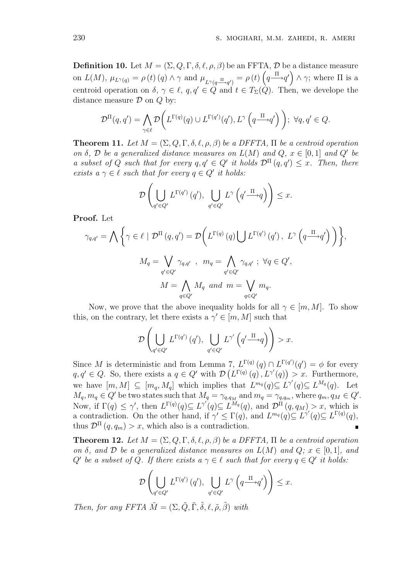**Definition 10.** Let  $M = (\Sigma, Q, \Gamma, \delta, \ell, \rho, \beta)$  be an FFTA,  $\mathcal{D}$  be a distance measure on  $L(M)$ ,  $\mu_{L^{\gamma}(q)} = \rho(t) (q) \wedge \gamma$  and  $\mu_{L^{\gamma}(q \xrightarrow{\Pi} q')} = \rho(t) \left( q \xrightarrow{\Pi} q' \right) \wedge \gamma$ ; where  $\Pi$  is a centroid operation on  $\delta, \gamma \in \ell, q, q' \in \tilde{Q}$  and  $t \in T_{\Sigma}(\tilde{Q})$ . Then, we develope the distance measure  $\mathcal D$  on  $Q$  by:

$$
\mathcal{D}^{\Pi}(q,q') = \bigwedge_{\gamma \in \ell} \mathcal{D}\bigg(L^{\Gamma(q)}(q) \cup L^{\Gamma(q')}(q'), L^{\gamma}\left(q \xrightarrow{\Pi} q'\right)\bigg); \ \forall q, q' \in Q.
$$

**Theorem 11.** Let  $M = (\Sigma, Q, \Gamma, \delta, \ell, \rho, \beta)$  be a DFFTA,  $\Pi$  be a centroid operation on  $\delta$ ,  $\mathcal D$  be a generalized distance measures on  $L(M)$  and  $Q$ ,  $x \in [0,1]$  and  $Q'$  be a subset of Q such that for every  $q, q' \in Q'$  it holds  $\mathcal{D}^{\Pi}(q, q') \leq x$ . Then, there exists  $a \gamma \in \ell$  such that for every  $q \in Q'$  it holds:

$$
\mathcal{D}\left(\bigcup_{q'\in Q'} L^{\Gamma(q')}\left(q'\right), \bigcup_{q'\in Q'} L^{\gamma}\left(q'\xrightarrow{\Pi}q\right)\right) \leq x.
$$

Proof. Let

$$
\gamma_{q,q'} = \bigwedge \left\{ \gamma \in \ell \mid \mathcal{D}^{\Pi}(q,q') = \mathcal{D} \bigg( L^{\Gamma(q)}(q) \bigcup L^{\Gamma(q')}(q'), \ L^{\gamma} \left( q \xrightarrow{\Pi} q' \right) \bigg) \right\},
$$

$$
M_q = \bigvee_{q' \in Q'} \gamma_{q,q'} , \ m_q = \bigwedge_{q' \in Q'} \gamma_{q,q'} ; \ \forall q \in Q',
$$

$$
M = \bigwedge_{q \in Q'} M_q \ \text{and} \ m = \bigvee_{q \in Q'} m_q.
$$

Now, we prove that the above inequality holds for all  $\gamma \in [m, M]$ . To show this, on the contrary, let there exists a  $\gamma' \in [m, M]$  such that !<br>!

$$
\mathcal{D}\left(\bigcup_{q'\in Q'} L^{\Gamma(q')}\left(q'\right), \bigcup_{q'\in Q'} L^{\gamma'}\left(q'\xrightarrow{\Pi}q\right)\right) > x.
$$

Since M is deterministic and from Lemma 7,  $L^{\Gamma(q)}(q) \cap L^{\Gamma(q')}(q') = \phi$  for every  $q, q' \in Q$ . So, there exists a  $q \in Q'$  with  $\mathcal{D}(L^{\Gamma(q)}(q), L^{\gamma'}(q)) > x$ . Furthermore, we have  $[m, M] \subseteq [m_q, M_q]$  which implies that  $L^{m_q}(q) \subseteq L^{\gamma'}(q) \subseteq L^{M_q}(q)$ . Let  $M_q, m_q \in Q'$  be two states such that  $M_q = \gamma_{q,q_M}$  and  $m_q = \gamma_{q,q_m}$ , where  $q_m, q_M \in Q'.$ Now, if  $\Gamma(q) \leq \gamma'$ , then  $L^{\Gamma(q)}(q) \subseteq L^{\gamma'}(q) \subseteq L^{M_q}(q)$ , and  $\mathcal{D}^{\Pi}(q,q_M) > x$ , which is a contradiction. On the other hand, if  $\gamma' \leq \Gamma(q)$ , and  $L^{m_q}(q) \subseteq L^{\gamma'}(q) \subseteq L^{\Gamma(q)}(q)$ , thus  $\mathcal{D}^{\Pi}(q, q_m) > x$ , which also is a contradiction.

**Theorem 12.** Let  $M = (\Sigma, Q, \Gamma, \delta, \ell, \rho, \beta)$  be a DFFTA,  $\Pi$  be a centroid operation on  $\delta$ , and  $\mathcal D$  be a generalized distance measures on  $L(M)$  and  $Q; x \in [0,1]$ , and Q' be a subset of Q. If there exists a  $\gamma \in \ell$  such that for every  $q \in Q'$  it holds: !<br>}

$$
\mathcal{D}\left(\bigcup_{q'\in Q'} L^{\Gamma(q')}\left(q'\right), \bigcup_{q'\in Q'} L^{\gamma}\left(q\frac{\Pi}{\longrightarrow}q'\right)\right)\leq x.
$$

Then, for any FFTA  $\tilde{M} = (\Sigma, \tilde{Q}, \tilde{\Gamma}, \tilde{\delta}, \ell, \tilde{\rho}, \tilde{\beta})$  with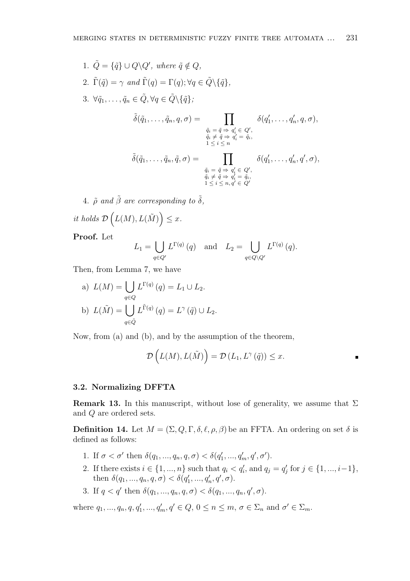1.  $\tilde{Q} = {\tilde{q}} \cup Q \backslash Q'$ , where  $\tilde{q} \notin Q$ , 2.  $\tilde{\Gamma}(\tilde{q}) = \gamma$  and  $\tilde{\Gamma}(q) = \Gamma(q); \forall q \in \tilde{Q} \setminus {\tilde{q}}$ , 3.  $\forall \tilde{q}_1, \ldots, \tilde{q}_n \in \tilde{Q}, \forall q \in \tilde{Q} \setminus \{\tilde{q}\};$  $\tilde{\delta}(\tilde{q}_1,\ldots,\tilde{q}_n,q,\sigma) = \prod$  $\tilde{q}_i = \tilde{q} \Rightarrow q'_i \in Q',$  $\tilde{q}_i \neq \tilde{q} \Rightarrow \tilde{q}'_i = \tilde{q}_i,$ <br> $1 \leq i \leq n$  $\delta(q'_1,\ldots,q'_n,q,\sigma),$  $\tilde{\delta}(\tilde{q}_1,\ldots,\tilde{q}_n,\tilde{q},\sigma) = \prod$  $\tilde{q}_i = \tilde{q} \Rightarrow q'_i \in Q',$  $\tilde{q}_i \neq \tilde{q} \Rightarrow \tilde{q}_i' = \tilde{q}_i, \ 1 \leq i \leq n, q' \in Q'$  $\delta(q'_1,\ldots,q'_n,q',\sigma),$ 

4.  $\tilde{\rho}$  and  $\tilde{\beta}$  are corresponding to  $\tilde{\delta}$ , it holds D  $\overline{a}$  $L(M), L(\tilde{M})$ ´  $\leq x$ .

Proof. Let

$$
L_1 = \bigcup_{q \in Q'} L^{\Gamma(q)}(q) \text{ and } L_2 = \bigcup_{q \in Q \setminus Q'} L^{\Gamma(q)}(q).
$$

Then, from Lemma 7, we have

a) 
$$
L(M) = \bigcup_{q \in Q} L^{\Gamma(q)}(q) = L_1 \cup L_2.
$$
  
b)  $L(\tilde{M}) = \bigcup_{q \in \tilde{Q}} L^{\tilde{\Gamma}(q)}(q) = L^{\gamma}(\tilde{q}) \cup L_2.$ 

Now, from (a) and (b), and by the assumption of the theorem,

$$
\mathcal{D}\left(L(M), L(\tilde{M})\right) = \mathcal{D}\left(L_1, L^{\gamma}\left(\tilde{q}\right)\right) \leq x.
$$

#### 3.2. Normalizing DFFTA

**Remark 13.** In this manuscript, without lose of generality, we assume that  $\Sigma$ and Q are ordered sets.

**Definition 14.** Let  $M = (\Sigma, Q, \Gamma, \delta, \ell, \rho, \beta)$  be an FFTA. An ordering on set  $\delta$  is defined as follows:

- 1. If  $\sigma < \sigma'$  then  $\delta(q_1, ..., q_n, q, \sigma) < \delta(q'_1, ..., q'_m, q', \sigma')$ .
- 2. If there exists  $i \in \{1, ..., n\}$  such that  $q_i < q'_i$ , and  $q_j = q'_j$  for  $j \in \{1, ..., i-1\}$ , then  $\delta(q_1, ..., q_n, q, \sigma) < \delta(q'_1, ..., q'_n, q', \sigma)$ .
- 3. If  $q < q'$  then  $\delta(q_1, ..., q_n, q, \sigma) < \delta(q_1, ..., q_n, q', \sigma)$ .

where  $q_1, ..., q_n, q, q'_1, ..., q'_m, q' \in Q, 0 \le n \le m, \sigma \in \Sigma_n$  and  $\sigma' \in \Sigma_m$ .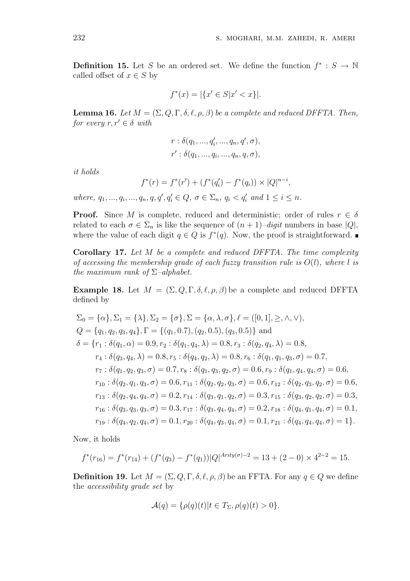**Definition 15.** Let S be an ordered set. We define the function  $f^* : S \to \mathbb{N}$ called offset of  $x \in S$  by

$$
f^*(x) = |\{x' \in S | x' < x\}|.
$$

**Lemma 16.** Let  $M = (\Sigma, Q, \Gamma, \delta, \ell, \rho, \beta)$  be a complete and reduced DFFTA. Then, for every  $r, r' \in \delta$  with

$$
r : \delta(q_1, ..., q'_i, ..., q_n, q', \sigma),
$$
  

$$
r' : \delta(q_1, ..., q_i, ..., q_n, q, \sigma),
$$

it holds

$$
f^*(r) = f^*(r') + (f^*(q'_i) - f^*(q_i)) \times |Q|^{n-i},
$$

where,  $q_1, ..., q_i, ..., q_n, q, q', q'_i \in Q, \sigma \in \Sigma_n, q_i < q'_i$  and  $1 \leq i \leq n$ .

**Proof.** Since M is complete, reduced and deterministic; order of rules  $r \in \delta$ related to each  $\sigma \in \Sigma_n$  is like the sequence of  $(n+1)-digit$  numbers in base  $|Q|$ , where the value of each digit  $q \in Q$  is  $f^*(q)$ . Now, the proof is straightforward.

Corollary 17. Let M be a complete and reduced DFFTA. The time complexity of accessing the membership grade of each fuzzy transition rule is  $O(l)$ , where l is the maximum rank of  $\Sigma$ –alphabet.

**Example 18.** Let  $M = (\Sigma, Q, \Gamma, \delta, \ell, \rho, \beta)$  be a complete and reduced DFFTA defined by

$$
\Sigma_0 = \{\alpha\}, \Sigma_1 = \{\lambda\}, \Sigma_2 = \{\sigma\}, \Sigma = \{\alpha, \lambda, \sigma\}, \ell = ([0, 1], \ge, \wedge, \vee),
$$
  
\n
$$
Q = \{q_1, q_2, q_3, q_4\}, \Gamma = \{(q_1, 0.7), (q_2, 0.5), (q_3, 0.5)\} \text{ and}
$$
  
\n
$$
\delta = \{r_1 : \delta(q_1, \alpha) = 0.9, r_2 : \delta(q_1, q_4, \lambda) = 0.8, r_3 : \delta(q_2, q_4, \lambda) = 0.8,
$$
  
\n
$$
r_4 : \delta(q_3, q_4, \lambda) = 0.8, r_5 : \delta(q_4, q_2, \lambda) = 0.8, r_6 : \delta(q_1, q_1, q_3, \sigma) = 0.7,
$$
  
\n
$$
r_7 : \delta(q_1, q_2, q_3, \sigma) = 0.7, r_8 : \delta(q_1, q_3, q_2, \sigma) = 0.6, r_9 : \delta(q_1, q_4, q_4, \sigma) = 0.6,
$$
  
\n
$$
r_{10} : \delta(q_2, q_1, q_3, \sigma) = 0.6, r_{11} : \delta(q_2, q_2, q_3, \sigma) = 0.6, r_{12} : \delta(q_2, q_3, q_2, \sigma) = 0.6,
$$
  
\n
$$
r_{13} : \delta(q_2, q_4, q_4, \sigma) = 0.2, r_{14} : \delta(q_3, q_1, q_2, \sigma) = 0.3, r_{15} : \delta(q_3, q_2, q_2, \sigma) = 0.3,
$$
  
\n
$$
r_{16} : \delta(q_3, q_3, q_3, \sigma) = 0.3, r_{17} : \delta(q_3, q_4, q_4, \sigma) = 0.2, r_{18} : \delta(q_4, q_1, q_4, \sigma) = 0.1,
$$
  
\n
$$
r_{19} : \delta(q_4, q_2, q_4, \sigma) = 0.1, r_{20} : \delta(q_4, q_3, q_4, \sigma) = 0.1, r_{21
$$

Now, it holds

$$
f^*(r_{16}) = f^*(r_{14}) + (f^*(q_3) - f^*(q_1))|Q|^{Arity(\sigma)-2} = 13 + (2 - 0) \times 4^{2-2} = 15.
$$

**Definition 19.** Let  $M = (\Sigma, Q, \Gamma, \delta, \ell, \rho, \beta)$  be an FFTA. For any  $q \in Q$  we define the accessibility grade set by

$$
\mathcal{A}(q) = \{ \rho(q)(t) | t \in T_{\Sigma}, \rho(q)(t) > 0 \}.
$$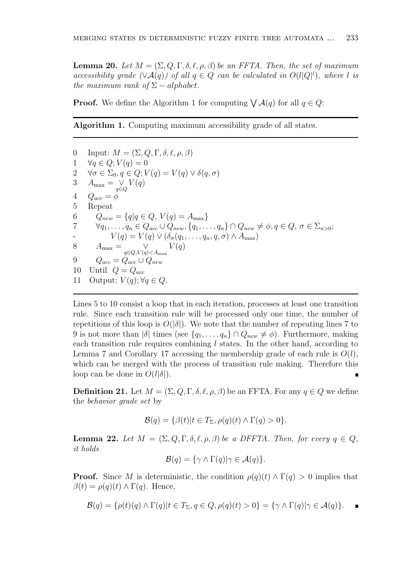**Lemma 20.** Let  $M = (\Sigma, Q, \Gamma, \delta, \ell, \rho, \beta)$  be an FFTA. Then, the set of maximum accessibility grade  $(\forall A(q))$  of all  $q \in Q$  can be calculated in  $O(l|Q|^l)$ , where l is the maximum rank of  $\Sigma - alphabet$ .

**Proof.** We define the Algorithm 1 for computing  $\bigvee \mathcal{A}(q)$  for all  $q \in Q$ :

Algorithm 1. Computing maximum accessibility grade of all states.

0 Input:  $M = (\Sigma, Q, \Gamma, \delta, \ell, \rho, \beta)$  $\forall q \in Q; V(q) = 0$  $\forall \sigma \in \Sigma_0, q \in Q; V(q) = V(q) \vee \delta(q, \sigma)$  $A_{\text{max}} = \bigvee_{q \in Q} V(q)$  $Q_{acc} = \phi$ 5 Repeat  $Q_{new} = \{q | q \in Q, V(q) = A_{max}\}\$  $\forall q_1, \ldots, q_n \in Q_{acc} \cup Q_{new}, \{q_1, \ldots, q_n\} \cap Q_{new} \neq \emptyset, q \in Q, \sigma \in \Sigma_{n>0};$  $V(q) = V(q) \vee (\delta_{\sigma}(q_1, \ldots, q_n, q, \sigma) \wedge A_{\text{max}})$  $A_{\text{max}} = \bigvee_{q \in Q, V(q) < A_{\text{max}}} V(q)$  $Q_{acc} = Q_{acc} \cup Q_{new}$ 10 Until  $Q = Q_{acc}$ 11 Output:  $V(q)$ ;  $\forall q \in Q$ .

Lines 5 to 10 consist a loop that in each iteration, processes at least one transition rule. Since each transition rule will be processed only one time, the number of repetitions of this loop is  $O(|\delta|)$ . We note that the number of repeating lines 7 to 9 is not more than  $|\delta|$  times (see  $\{q_1, \ldots, q_n\} \cap Q_{new} \neq \emptyset$ ). Furthermore, making each transition rule requires combining  $l$  states. In the other hand, according to Lemma 7 and Corollary 17 accessing the membership grade of each rule is  $O(l)$ , which can be merged with the process of transition rule making. Therefore this loop can be done in  $O(l|\delta|)$ .

**Definition 21.** Let  $M = (\Sigma, Q, \Gamma, \delta, \ell, \rho, \beta)$  be an FFTA. For any  $q \in Q$  we define the behavior grade set by

$$
\mathcal{B}(q) = \{ \beta(t) | t \in T_{\Sigma}, \rho(q)(t) \wedge \Gamma(q) > 0 \}.
$$

**Lemma 22.** Let  $M = (\Sigma, Q, \Gamma, \delta, \ell, \rho, \beta)$  be a DFFTA. Then, for every  $q \in Q$ , it holds

$$
\mathcal{B}(q) = \{ \gamma \wedge \Gamma(q) | \gamma \in \mathcal{A}(q) \}.
$$

**Proof.** Since M is deterministic, the condition  $\rho(q)(t) \wedge \Gamma(q) > 0$  implies that  $\beta(t) = \rho(q)(t) \wedge \Gamma(q)$ . Hence,

$$
\mathcal{B}(q) = \{ \rho(t)(q) \wedge \Gamma(q) | t \in T_{\Sigma}, q \in Q, \rho(q)(t) > 0 \} = \{ \gamma \wedge \Gamma(q) | \gamma \in \mathcal{A}(q) \}.
$$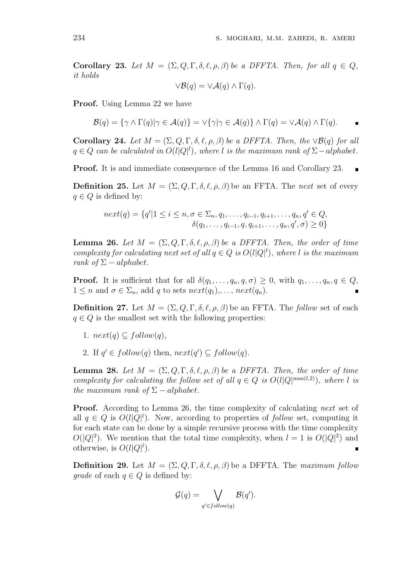Corollary 23. Let  $M = (\Sigma, Q, \Gamma, \delta, \ell, \rho, \beta)$  be a DFFTA. Then, for all  $q \in Q$ , it holds

$$
\vee \mathcal{B}(q) = \vee \mathcal{A}(q) \wedge \Gamma(q).
$$

Proof. Using Lemma 22 we have

$$
\mathcal{B}(q) = \{ \gamma \wedge \Gamma(q) | \gamma \in \mathcal{A}(q) \} = \vee \{ \gamma | \gamma \in \mathcal{A}(q) \} \wedge \Gamma(q) = \vee \mathcal{A}(q) \wedge \Gamma(q).
$$

Corollary 24. Let  $M = (\Sigma, Q, \Gamma, \delta, \ell, \rho, \beta)$  be a DFFTA. Then, the  $\vee \mathcal{B}(q)$  for all  $q \in Q$  can be calculated in  $O(l|Q|^l)$ , where l is the maximum rank of  $\Sigma-alphabet$ .

Proof. It is and immediate consequence of the Lemma 16 and Corollary 23.

**Definition 25.** Let  $M = (\Sigma, Q, \Gamma, \delta, \ell, \rho, \beta)$  be an FFTA. The next set of every  $q \in Q$  is defined by:

$$
next(q) = \{q'|1 \leq i \leq n, \sigma \in \Sigma_n, q_1, \dots, q_{i-1}, q_{i+1}, \dots, q_n, q' \in Q, \\ \delta(q_1, \dots, q_{i-1}, q, q_{i+1}, \dots, q_n, q', \sigma) \geq 0\}
$$

**Lemma 26.** Let  $M = (\Sigma, Q, \Gamma, \delta, \ell, \rho, \beta)$  be a DFFTA. Then, the order of time complexity for calculating next set of all  $q \in Q$  is  $O(l|Q|^l)$ , where l is the maximum rank of  $\Sigma - alphabet$ .

**Proof.** It is sufficient that for all  $\delta(q_1, \ldots, q_n, q, \sigma) \geq 0$ , with  $q_1, \ldots, q_n, q \in Q$ ,  $1 \leq n$  and  $\sigma \in \Sigma_n$ , add q to sets  $next(q_1), \ldots, next(q_n)$ .

**Definition 27.** Let  $M = (\Sigma, Q, \Gamma, \delta, \ell, \rho, \beta)$  be an FFTA. The follow set of each  $q \in Q$  is the smallest set with the following properties:

- 1.  $next(q) \subseteq follow(q)$ ,
- 2. If  $q' \in follow(q)$  then,  $next(q') \subseteq follow(q)$ .

**Lemma 28.** Let  $M = (\Sigma, Q, \Gamma, \delta, \ell, \rho, \beta)$  be a DFFTA. Then, the order of time complexity for calculating the follow set of all  $q \in Q$  is  $O(l|Q|^{\max(l,2)})$ , where l is the maximum rank of  $\Sigma - alphabet$ .

**Proof.** According to Lemma 26, the time complexity of calculating next set of all  $q \in Q$  is  $O(l|Q|^l)$ . Now, according to properties of follow set, computing it for each state can be done by a simple recursive process with the time complexity  $O(|Q|^2)$ . We mention that the total time complexity, when  $l = 1$  is  $O(|Q|^2)$  and otherwise, is  $O(l|Q|^l)$ .  $\blacksquare$ 

**Definition 29.** Let  $M = (\Sigma, Q, \Gamma, \delta, \ell, \rho, \beta)$  be a DFFTA. The maximum follow *grade* of each  $q \in Q$  is defined by:

$$
\mathcal{G}(q) = \bigvee_{q' \in follow(q)} \mathcal{B}(q').
$$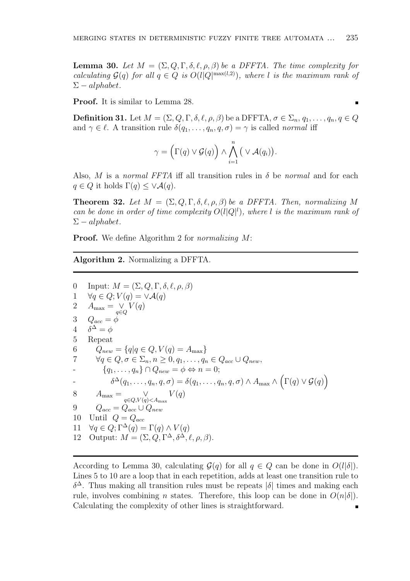**Lemma 30.** Let  $M = (\Sigma, Q, \Gamma, \delta, \ell, \rho, \beta)$  be a DFFTA. The time complexity for calculating  $\mathcal{G}(q)$  for all  $q \in Q$  is  $O(l|Q^{\max(l,2)})$ , where l is the maximum rank of  $\Sigma-alphabet.$ 

Proof. It is similar to Lemma 28.

**Definition 31.** Let  $M = (\Sigma, Q, \Gamma, \delta, \ell, \rho, \beta)$  be a DFFTA,  $\sigma \in \Sigma_n$ ,  $q_1, \ldots, q_n, q \in Q$ and  $\gamma \in \ell$ . A transition rule  $\delta(q_1, \ldots, q_n, q, \sigma) = \gamma$  is called normal iff

$$
\gamma = \left(\Gamma(q) \vee \mathcal{G}(q)\right) \wedge \bigwedge_{i=1}^{n} \left(\vee \mathcal{A}(q_{i})\right).
$$

Also, M is a normal FFTA iff all transition rules in  $\delta$  be normal and for each  $q \in Q$  it holds  $\Gamma(q) \leq \vee \mathcal{A}(q)$ .

**Theorem 32.** Let  $M = (\Sigma, Q, \Gamma, \delta, \ell, \rho, \beta)$  be a DFFTA. Then, normalizing M can be done in order of time complexity  $O(l|Q|^l)$ , where l is the maximum rank of  $\Sigma-alphabet.$ 

**Proof.** We define Algorithm 2 for *normalizing M*:

Algorithm 2. Normalizing a DFFTA.

0 Input:  $M = (\Sigma, Q, \Gamma, \delta, \ell, \rho, \beta)$ 1  $\forall q \in Q; V(q) = \forall \mathcal{A}(q)$ 2  $A_{\text{max}} = \bigvee_{q \in Q} V(q)$ 3  $Q_{acc} = \phi$ 4  $\delta^{\Delta} = \phi$ 5 Repeat 6  $Q_{new} = \{q | q \in Q, V(q) = A_{max}\}\$ 7  $\forall q \in Q, \sigma \in \Sigma_n, n \geq 0, q_1, \ldots, q_n \in Q_{acc} \cup Q_{new}$  $\{q_1, \ldots, q_n\} \cap Q_{new} = \phi \Leftrightarrow n = 0;$  $\delta^{\Delta}(q_1,\ldots,q_n,q,\sigma)=\delta(q_1,\ldots,q_n,q,\sigma)\wedge A_{\max}\wedge A$  $\overline{a}$  $\Gamma(q) \vee \mathcal{G}(q)$ ´ 8  $A_{\text{max}} = \bigvee_{q \in Q, V(q) < A_{\text{max}}} V(q)$ 9  $Q_{acc} = Q_{acc} \cup Q_{new}$ 10 Until  $Q = Q_{acc}$ 11  $\forall q \in Q; \Gamma^{\Delta}(q) = \Gamma(q) \wedge V(q)$ 12 Output:  $M = (\Sigma, Q, \Gamma^{\Delta}, \delta^{\Delta}, \ell, \rho, \beta).$ 

According to Lemma 30, calculating  $\mathcal{G}(q)$  for all  $q \in Q$  can be done in  $O(l|\delta|)$ . Lines 5 to 10 are a loop that in each repetition, adds at least one transition rule to  $\delta^{\Delta}$ . Thus making all transition rules must be repeats  $|\delta|$  times and making each rule, involves combining *n* states. Therefore, this loop can be done in  $O(n|\delta|)$ . Calculating the complexity of other lines is straightforward. $\blacksquare$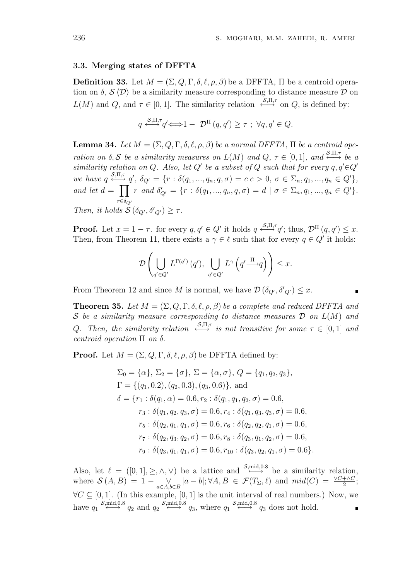### 3.3. Merging states of DFFTA

**Definition 33.** Let  $M = (\Sigma, Q, \Gamma, \delta, \ell, \rho, \beta)$  be a DFFTA,  $\Pi$  be a centroid operation on  $\delta$ ,  $\mathcal{S} \langle \mathcal{D} \rangle$  be a similarity measure corresponding to distance measure  $\mathcal{D}$  on  $L(M)$  and  $Q$ , and  $\tau \in [0,1]$ . The similarity relation  $\stackrel{\mathcal{S},\Pi,\tau}{\longleftrightarrow}$  on  $Q$ , is defined by:

$$
q \stackrel{\mathcal{S},\Pi,\tau}{\longleftrightarrow} q' \Longleftrightarrow 1 - \mathcal{D}^{\Pi}(q,q') \geq \tau \; ; \; \forall q,q' \in Q.
$$

**Lemma 34.** Let  $M = (\Sigma, Q, \Gamma, \delta, \ell, \rho, \beta)$  be a normal DFFTA,  $\Pi$  be a centroid operation on  $\delta, \mathcal{S}$  be a similarity measures on  $L(M)$  and  $Q, \tau \in [0,1]$ , and  $\stackrel{\mathcal{S},\Pi,\tau}{\longleftrightarrow}$  be a similarity relation on Q. Also, let Q' be a subset of Q such that for every  $q, q' \in Q'$ we have  $q \stackrel{\mathcal{S},\Pi,\tau}{\longleftarrow} q'$ ,  $\delta_{Q'} = \{r : \delta(q_1,...,q_n,q,\sigma) = c | c > 0, \sigma \in \Sigma_n, q_1,...,q_n \in Q'\},$ and let  $d = \prod r$  and  $\delta'_{Q'} = \{r : \delta(q_1, ..., q_n, q, \sigma) = d \mid \sigma \in \Sigma_n, q_1, ..., q_n \in Q'\}.$  $r \in \delta_{Q'}$ Then, it holds  $\mathcal{S}(\delta_{Q'}, \delta'_{Q'}) \geq \tau$ .

**Proof.** Let  $x = 1 - \tau$ . for every  $q, q' \in Q'$  it holds  $q \stackrel{\mathcal{S}, \Pi, \tau}{\longleftrightarrow} q'$ ; thus,  $\mathcal{D}^{\Pi}(q, q') \leq x$ . Then, from Theorem 11, there exists a  $\gamma \in \ell$  such that for every  $q \in Q'$  it holds:

$$
\mathcal{D}\left(\bigcup_{q'\in Q'} L^{\Gamma(q')}\left(q'\right), \bigcup_{q'\in Q'} L^{\gamma}\left(q'\xrightarrow{\Pi}q\right)\right)\leq x.
$$

From Theorem 12 and since M is normal, we have  $\mathcal{D}(\delta_{Q'}, \delta'_{Q'}) \leq x$ .

**Theorem 35.** Let  $M = (\Sigma, Q, \Gamma, \delta, \ell, \rho, \beta)$  be a complete and reduced DFFTA and S be a similarity measure corresponding to distance measures  $\mathcal D$  on  $L(M)$  and Q. Then, the similarity relation  $\xrightarrow{\mathcal{S},\Pi,\tau}$  is not transitive for some  $\tau \in [0,1]$  and centroid operation  $\Pi$  on  $\delta$ .

**Proof.** Let  $M = (\Sigma, Q, \Gamma, \delta, \ell, \rho, \beta)$  be DFFTA defined by:

$$
\Sigma_0 = \{\alpha\}, \Sigma_2 = \{\sigma\}, \Sigma = \{\alpha, \sigma\}, Q = \{q_1, q_2, q_3\},
$$
  
\n
$$
\Gamma = \{(q_1, 0.2), (q_2, 0.3), (q_3, 0.6)\}, \text{ and}
$$
  
\n
$$
\delta = \{r_1 : \delta(q_1, \alpha) = 0.6, r_2 : \delta(q_1, q_1, q_2, \sigma) = 0.6,
$$
  
\n
$$
r_3 : \delta(q_1, q_2, q_3, \sigma) = 0.6, r_4 : \delta(q_1, q_3, q_3, \sigma) = 0.6,
$$
  
\n
$$
r_5 : \delta(q_2, q_1, q_1, \sigma) = 0.6, r_6 : \delta(q_2, q_2, q_1, \sigma) = 0.6,
$$
  
\n
$$
r_7 : \delta(q_2, q_3, q_2, \sigma) = 0.6, r_8 : \delta(q_3, q_1, q_2, \sigma) = 0.6,
$$
  
\n
$$
r_9 : \delta(q_3, q_1, q_1, \sigma) = 0.6, r_{10} : \delta(q_3, q_2, q_1, \sigma) = 0.6 \}.
$$

Also, let  $\ell = ([0, 1], \geq, \wedge, \vee)$  be a lattice and  $\stackrel{\mathcal{S}, \text{mid}, 0.8}{\longleftrightarrow}$  be a similarity relation, where  $\mathcal{S}(A, B) = 1 - \bigvee_{a \in A, b \in B} |a - b|; \forall A, B \in \mathcal{F}(T_{\Sigma}, \ell)$  and  $mid(C) = \frac{\vee C + \wedge C}{2};$  $\forall C \subseteq [0,1]$ . (In this example, [0, 1] is the unit interval of real numbers.) Now, we have  $q_1 \stackrel{S,\text{mid},0.8}{\longleftrightarrow} q_2$  and  $q_2 \stackrel{S,\text{mid},0.8}{\longleftrightarrow} q_3$ , where  $q_1 \stackrel{S,\text{mid},0.8}{\longleftrightarrow} q_3$  does not hold.  $\blacksquare$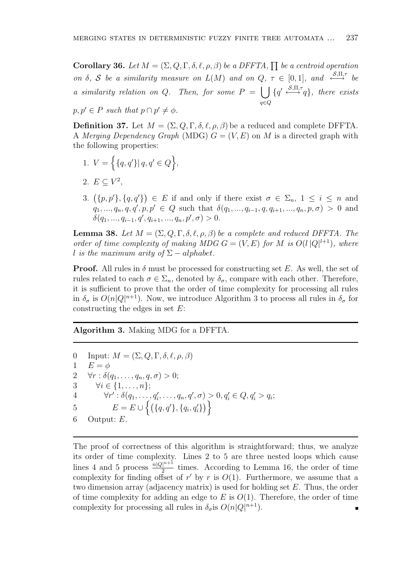**Corollary 36.** Let  $M = (\Sigma, Q, \Gamma, \delta, \ell, \rho, \beta)$  be a DFFTA,  $\prod$  be a centroid operation on  $\delta$ , S be a similarity measure on  $L(M)$  and on  $Q$ ,  $\tau \in [0,1]$ , and  $\xrightarrow{\mathcal{S},\Pi,\tau}$  be a similarity relation on  $Q$ . Then, for some  $P =$  $\begin{smallmatrix} 0 & 1 \ 1 & 1 \end{smallmatrix}$ q∈Q  $\{q' \stackrel{\mathcal{S},\Pi,\tau}{\longrightarrow} q\}$ , there exists

 $p, p' \in P$  such that  $p \cap p' \neq \phi$ .

**Definition 37.** Let  $M = (\Sigma, Q, \Gamma, \delta, \ell, \rho, \beta)$  be a reduced and complete DFFTA. A Merging Dependency Graph (MDG)  $G = (V, E)$  on M is a directed graph with the following properties:

- 1.  $V =$ n  ${q, q' \mid q, q' \in Q}$ o ,
- 2.  $E \subseteq V^2$ ,
- 3.  $({p, p'}, {q, q'}$ ¢  $\in E$  if and only if there exist  $\sigma \in \Sigma_n$ ,  $1 \leq i \leq n$  and  $q_1, ..., q_n, q, q', p, p' \in Q$  such that  $\delta(q_1, ..., q_{i-1}, q, q_{i+1}, ..., q_n, p, \sigma) > 0$  and  $\delta(q_1, ..., q_{i-1}, q', q_{i+1}, ..., q_n, p', \sigma) > 0.$

**Lemma 38.** Let  $M = (\Sigma, Q, \Gamma, \delta, \ell, \rho, \beta)$  be a complete and reduced DFFTA. The order of time complexity of making MDG  $G = (V, E)$  for M is  $O(l |Q|^{l+1})$ , where l is the maximum arity of  $\Sigma-alphabet$ .

**Proof.** All rules in  $\delta$  must be processed for constructing set E. As well, the set of rules related to each  $\sigma \in \Sigma_n$ , denoted by  $\delta_{\sigma}$ , compare with each other. Therefore, it is sufficient to prove that the order of time complexity for processing all rules in  $\delta_{\sigma}$  is  $O(n|Q|^{n+1})$ . Now, we introduce Algorithm 3 to process all rules in  $\delta_{\sigma}$  for constructing the edges in set  $E$ :

Algorithm 3. Making MDG for a DFFTA.

0 Input:  $M = (\Sigma, Q, \Gamma, \delta, \ell, \rho, \beta)$ 1  $E = \phi$ 2  $\forall r : \delta(q_1, \ldots, q_n, q, \sigma) > 0;$ 3  $\forall i \in \{1,\ldots,n\};$ 4  $\forall r' : \delta(q_1, \ldots, q'_i, \ldots, q_n, q', \sigma) > 0, q'_i \in Q, q'_i > q_i;$ 5  $E = E \cup$  $\ddot{r}$  ${q, q'}$ ,  ${q_i, q_i'}$ ) ><br>∖ ∖ 6 Output: E.

The proof of correctness of this algorithm is straightforward; thus, we analyze its order of time complexity. Lines 2 to 5 are three nested loops which cause lines 4 and 5 process  $\frac{n|Q|^{n+1}}{2}$  $\frac{1}{2}$  times. According to Lemma 16, the order of time complexity for finding offset of r' by r is  $O(1)$ . Furthermore, we assume that a two dimension array (adjacency matrix) is used for holding set E. Thus, the order of time complexity for adding an edge to E is  $O(1)$ . Therefore, the order of time complexity for processing all rules in  $\delta_{\sigma}$  is  $O(n|Q|^{n+1})$ .  $\blacksquare$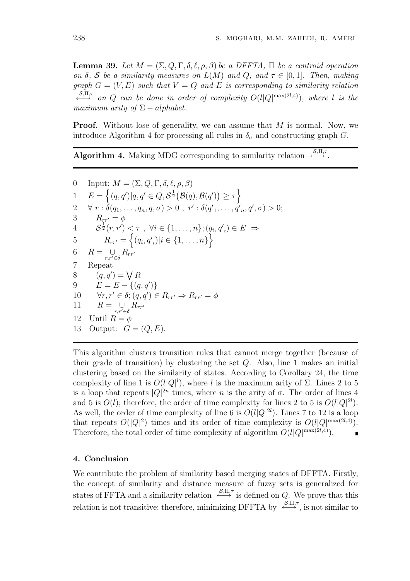**Lemma 39.** Let  $M = (\Sigma, Q, \Gamma, \delta, \ell, \rho, \beta)$  be a DFFTA,  $\Pi$  be a centroid operation on  $\delta$ , S be a similarity measures on  $L(M)$  and Q, and  $\tau \in [0,1]$ . Then, making graph  $G = (V, E)$  such that  $V = Q$  and E is corresponding to similarity relation  $\stackrel{\mathcal{S},\Pi,\tau}{\longleftrightarrow}$  on Q can be done in order of complexity  $O(l|Q|^{\max(2l,4)})$ , where l is the maximum arity of  $\Sigma - alphabet$ .

**Proof.** Without lose of generality, we can assume that M is normal. Now, we introduce Algorithm 4 for processing all rules in  $\delta_{\sigma}$  and constructing graph G.

Algorithm 4. Making MDG corresponding to similarity relation  $\xrightarrow{\mathcal{S},\Pi,\tau}$ .

0 Input:  $M = (\Sigma, Q, \Gamma, \delta, \ell, \rho, \beta)$  $E = \left\{ (q, q') | q, q' \in Q, S^{\frac{1}{2}} \right\}$  $\mathcal{B}(q), \mathcal{B}(q')$ ¢  $\geq \tau$ o 2  $\forall r : \delta(q_1, \ldots, q_n, q, \sigma) > 0$ ,  $r' : \delta(q'_1, \ldots, q'_n, q', \sigma) > 0$ ; 3  $R_{rr'} = \phi$ 4  $S^{\frac{1}{2}}(r,r') \leq \tau$ ,  $\forall i \in \{1,\ldots,n\}; (q_i, q'_i) \in E \Rightarrow$ 5  $R_{rr'} = \left\{ (q_i, q'_i) | i \in \{1, \ldots, n\} \right\}$ 6  $R = \bigcup_{r,r' \in \delta} R_{rr'}$ 7 Repeat 8 Repeat<br>8  $(q, q') = \bigvee R$ 9  $E = E - \{(q, q')\}$ 10  $\forall r, r' \in \delta; (q, q') \in R_{rr'} \Rightarrow R_{rr'} = \phi$ 11  $R = \bigcup_{r,r' \in \delta} R_{rr'}$ 12 Until  $R = \phi$ 13 Output:  $G = (Q, E)$ .

This algorithm clusters transition rules that cannot merge together (because of their grade of transition) by clustering the set Q. Also, line 1 makes an initial clustering based on the similarity of states. According to Corollary 24, the time complexity of line 1 is  $O(l|Q|^l)$ , where l is the maximum arity of  $\Sigma$ . Lines 2 to 5 is a loop that repeats  $|Q|^{2n}$  times, where n is the arity of  $\sigma$ . The order of lines 4 and 5 is  $O(l)$ ; therefore, the order of time complexity for lines 2 to 5 is  $O(l|Q|^{2l})$ . As well, the order of time complexity of line 6 is  $O(l|Q|^2)$ . Lines 7 to 12 is a loop that repeats  $O(|Q|^2)$  times and its order of time complexity is  $O(l|Q^{\max(2l,4)})$ . Therefore, the total order of time complexity of algorithm  $O(l|Q|^{\max(2l,4)})$ .

#### 4. Conclusion

We contribute the problem of similarity based merging states of DFFTA. Firstly, the concept of similarity and distance measure of fuzzy sets is generalized for states of FFTA and a similarity relation  $\xrightarrow{\mathcal{S}, \Pi, \tau}$  is defined on Q. We prove that this relation is not transitive; therefore, minimizing DFFTA by  $\xrightarrow{\mathcal{S}, \Pi, \tau}$ , is not similar to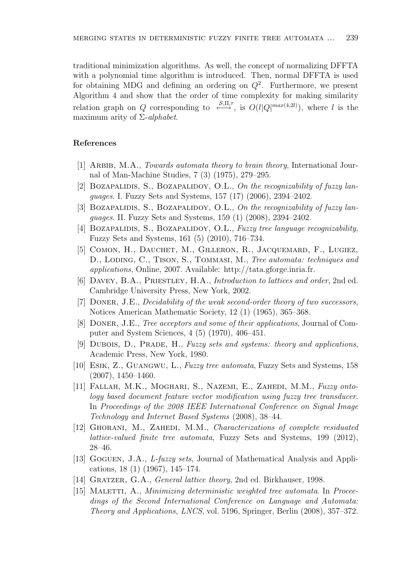traditional minimization algorithms. As well, the concept of normalizing DFFTA with a polynomial time algorithm is introduced. Then, normal DFFTA is used for obtaining MDG and defining an ordering on  $Q^2$ . Furthermore, we present Algorithm 4 and show that the order of time complexity for making similarity relation graph on Q corresponding to  $\xrightarrow{\mathcal{S},\Pi,\tau}$ , is  $O(l|Q|^{max(4,2l)})$ , where l is the maximum arity of  $\Sigma$ -alphabet.

## References

- [1] Arbib, M.A., Towards automata theory to brain theory, International Journal of Man-Machine Studies, 7 (3) (1975), 279–295.
- [2] BOZAPALIDIS, S., BOZAPALIDOY, O.L., On the recognizability of fuzzy languages. I. Fuzzy Sets and Systems, 157 (17) (2006), 2394–2402.
- [3] BOZAPALIDIS, S., BOZAPALIDOY, O.L., On the recognizability of fuzzy languages. II. Fuzzy Sets and Systems, 159 (1) (2008), 2394–2402.
- [4] BOZAPALIDIS, S., BOZAPALIDOY, O.L., Fuzzy tree language recognizability, Fuzzy Sets and Systems, 161 (5) (2010), 716–734.
- [5] Comon, H., Dauchet, M., Gilleron, R., Jacquemard, F., Lugiez, D., LODING, C., TISON, S., TOMMASI, M., Tree automata: techniques and applications, Online, 2007. Available: http://tata.gforge.inria.fr.
- [6] Davey, B.A., Priestley, H.A., Introduction to lattices and order, 2nd ed. Cambridge University Press, New York, 2002.
- [7] Doner, J.E., Decidability of the weak second-order theory of two successors, Notices American Mathematic Society, 12 (1) (1965), 365–368.
- [8] Doner, J.E., Tree acceptors and some of their applications, Journal of Computer and System Sciences, 4 (5) (1970), 406–451.
- [9] DUBOIS, D., PRADE, H., Fuzzy sets and systems: theory and applications, Academic Press, New York, 1980.
- [10] Esik, Z., Guangwu, L., Fuzzy tree automata, Fuzzy Sets and Systems, 158  $(2007), 1450-1460.$
- [11] Fallah, M.K., Moghari, S., Nazemi, E., Zahedi, M.M., Fuzzy ontology based document feature vector modification using fuzzy tree transducer. In Proceedings of the 2008 IEEE International Conference on Signal Image Technology and Internet Based Systems (2008), 38–44.
- [12] GHORANI, M., ZAHEDI, M.M., Characterizations of complete residuated lattice-valued finite tree automata, Fuzzy Sets and Systems, 199 (2012), 28–46.
- [13] Goguen, J.A., L-fuzzy sets, Journal of Mathematical Analysis and Applications, 18 (1) (1967), 145–174.
- [14] GRATZER, G.A., *General lattice theory*, 2nd ed. Birkhauser, 1998.
- [15] MALETTI, A., *Minimizing deterministic weighted tree automata*. In *Procee*dings of the Second International Conference on Language and Automata: Theory and Applications, LNCS, vol. 5196, Springer, Berlin (2008), 357–372.